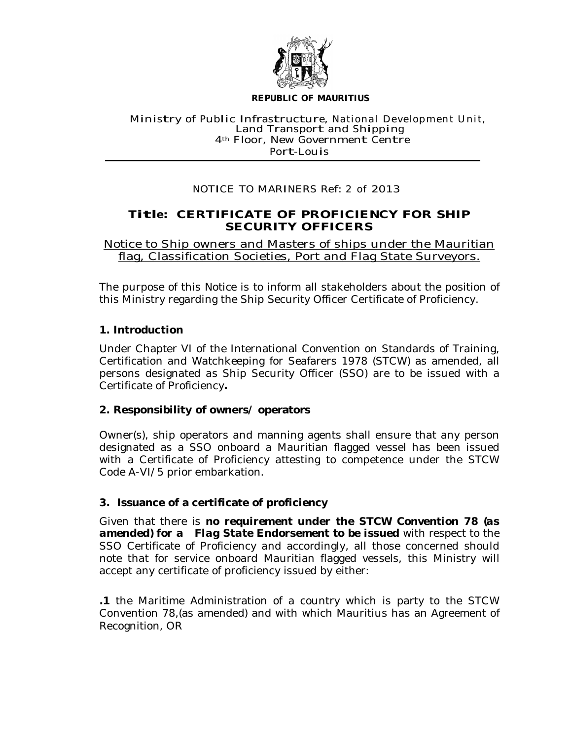

#### **REPUBLIC OF MAURITIUS**

#### Ministry of Public Infrastructure, National Development Unit, Land Transport and Shipping 4<sup>th</sup> Floor, New Government Centre Port-Louis

## NOTICE TO MARINERS Ref: <sup>2</sup> of 2013

# **Title: CERTIFICATE OF PROFICIENCY FOR SHIP SECURITY OFFICERS**

Notice to Ship owners and Masters of ships under the Mauritian flag, Classification Societies, Port and Flag State Surveyors.

The purpose of this Notice is to inform all stakeholders about the position of this Ministry regarding the Ship Security Officer Certificate of Proficiency.

## **1. Introduction**

Under Chapter VI of the International Convention on Standards of Training, Certification and Watchkeeping for Seafarers 1978 (STCW) as amended, all persons designated as Ship Security Officer (SSO) are to be issued with a Certificate of Proficiency**.**

## **2. Responsibility of owners/ operators**

Owner(s), ship operators and manning agents shall ensure that any person designated as a SSO onboard a Mauritian flagged vessel has been issued with a Certificate of Proficiency attesting to competence under the STCW Code A-VI/5 prior embarkation.

## **3. Issuance of a certificate of proficiency**

Given that there is *no requirement under the STCW Convention 78 (as amended) for a Flag State Endorsement to be issued* with respect to the SSO Certificate of Proficiency and accordingly, all those concerned should note that for service onboard Mauritian flagged vessels, this Ministry will accept any certificate of proficiency issued by either:

**.1** the Maritime Administration of a country which is party to the STCW Convention 78,(as amended) and with which Mauritius has an Agreement of Recognition, OR